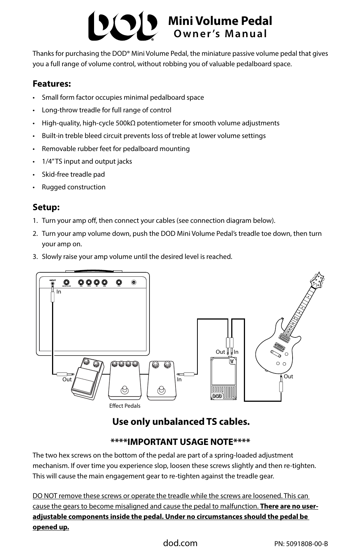# **Mini Volume Pedal Owner 's Manual**

Thanks for purchasing the DOD® Mini Volume Pedal, the miniature passive volume pedal that gives you a full range of volume control, without robbing you of valuable pedalboard space.

#### **Features:**

- Small form factor occupies minimal pedalboard space
- Long-throw treadle for full range of control
- High-quality, high-cycle 500kΩ potentiometer for smooth volume adjustments
- Built-in treble bleed circuit prevents loss of treble at lower volume settings
- Removable rubber feet for pedalboard mounting
- 1/4" TS input and output jacks
- Skid-free treadle pad
- Rugged construction

### **Setup:**

- 1. Turn your amp off, then connect your cables (see connection diagram below).
- 2. Turn your amp volume down, push the DOD Mini Volume Pedal's treadle toe down, then turn your amp on.
- 3. Slowly raise your amp volume until the desired level is reached.



# **Use only unbalanced TS cables.**

## **\*\*\*\*IMPORTANT USAGE NOTE\*\*\*\***

The two hex screws on the bottom of the pedal are part of a spring-loaded adjustment mechanism. If over time you experience slop, loosen these screws slightly and then re-tighten. This will cause the main engagement gear to re-tighten against the treadle gear.

DO NOT remove these screws or operate the treadle while the screws are loosened. This can cause the gears to become misaligned and cause the pedal to malfunction. **There are no useradjustable components inside the pedal. Under no circumstances should the pedal be opened up.**